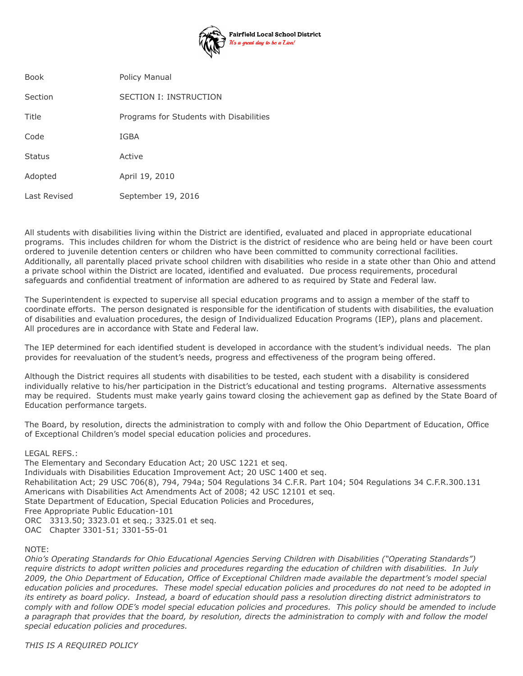

| <b>Book</b>   | Policy Manual                           |
|---------------|-----------------------------------------|
| Section       | SECTION I: INSTRUCTION                  |
| Title         | Programs for Students with Disabilities |
| Code          | IGBA                                    |
| <b>Status</b> | Active                                  |
| Adopted       | April 19, 2010                          |
| Last Revised  | September 19, 2016                      |

All students with disabilities living within the District are identified, evaluated and placed in appropriate educational programs. This includes children for whom the District is the district of residence who are being held or have been court ordered to juvenile detention centers or children who have been committed to community correctional facilities. Additionally, all parentally placed private school children with disabilities who reside in a state other than Ohio and attend a private school within the District are located, identified and evaluated. Due process requirements, procedural safeguards and confidential treatment of information are adhered to as required by State and Federal law.

The Superintendent is expected to supervise all special education programs and to assign a member of the staff to coordinate efforts. The person designated is responsible for the identification of students with disabilities, the evaluation of disabilities and evaluation procedures, the design of Individualized Education Programs (IEP), plans and placement. All procedures are in accordance with State and Federal law.

The IEP determined for each identified student is developed in accordance with the student's individual needs. The plan provides for reevaluation of the student's needs, progress and effectiveness of the program being offered.

Although the District requires all students with disabilities to be tested, each student with a disability is considered individually relative to his/her participation in the District's educational and testing programs. Alternative assessments may be required. Students must make yearly gains toward closing the achievement gap as defined by the State Board of Education performance targets.

The Board, by resolution, directs the administration to comply with and follow the Ohio Department of Education, Office of Exceptional Children's model special education policies and procedures.

## LEGAL REFS.:

The Elementary and Secondary Education Act; 20 USC 1221 et seq. Individuals with Disabilities Education Improvement Act; 20 USC 1400 et seq. Rehabilitation Act; 29 USC 706(8), 794, 794a; 504 Regulations 34 C.F.R. Part 104; 504 Regulations 34 C.F.R.300.131 Americans with Disabilities Act Amendments Act of 2008; 42 USC 12101 et seq. State Department of Education, Special Education Policies and Procedures, Free Appropriate Public Education-101 ORC 3313.50; 3323.01 et seq.; 3325.01 et seq. OAC Chapter 3301-51; 3301-55-01

## NOTE:

*Ohio's Operating Standards for Ohio Educational Agencies Serving Children with Disabilities ("Operating Standards") require districts to adopt written policies and procedures regarding the education of children with disabilities. In July 2009, the Ohio Department of Education, Office of Exceptional Children made available the department's model special education policies and procedures. These model special education policies and procedures do not need to be adopted in its entirety as board policy. Instead, a board of education should pass a resolution directing district administrators to comply with and follow ODE's model special education policies and procedures. This policy should be amended to include a paragraph that provides that the board, by resolution, directs the administration to comply with and follow the model special education policies and procedures.*